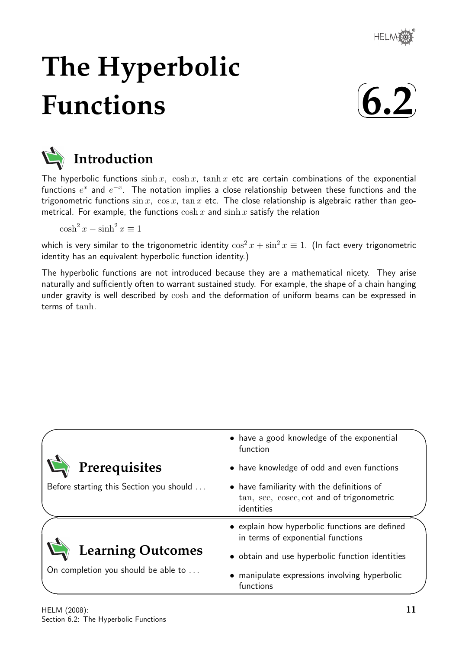# **The Hyperbolic Functions**





The hyperbolic functions  $\sinh x$ ,  $\cosh x$ ,  $\tanh x$  etc are certain combinations of the exponential functions  $e^x$  and  $e^{-x}$ . The notation implies a close relationship between these functions and the trigonometric functions  $\sin x$ ,  $\cos x$ ,  $\tan x$  etc. The close relationship is algebraic rather than geometrical. For example, the functions  $\cosh x$  and  $\sinh x$  satisfy the relation

 $\cosh^2 x - \sinh^2 x \equiv 1$ 

which is very similar to the trigonometric identity  $\cos^2 x + \sin^2 x \equiv 1$ . (In fact every trigonometric identity has an equivalent hyperbolic function identity.)

The hyperbolic functions are not introduced because they are a mathematical nicety. They arise naturally and sufficiently often to warrant sustained study. For example, the shape of a chain hanging under gravity is well described by cosh and the deformation of uniform beams can be expressed in terms of tanh.

|                                         | • have a good knowledge of the exponential<br>function                                                |  |
|-----------------------------------------|-------------------------------------------------------------------------------------------------------|--|
| Prerequisites                           | • have knowledge of odd and even functions                                                            |  |
| Before starting this Section you should | • have familiarity with the definitions of<br>tan, sec, cosec, cot and of trigonometric<br>identities |  |
|                                         | • explain how hyperbolic functions are defined<br>in terms of exponential functions                   |  |
| <b>Learning Outcomes</b>                | • obtain and use hyperbolic function identities                                                       |  |
| On completion you should be able to     | • manipulate expressions involving hyperbolic<br>functions                                            |  |

 $\overline{\phantom{0}}$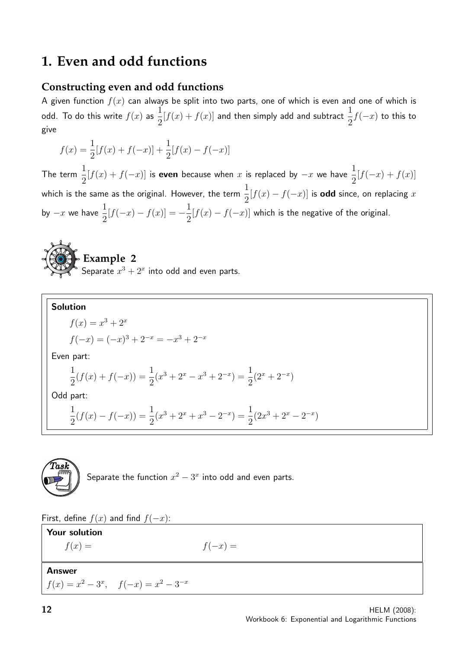# **1. Even and odd functions**

## **Constructing even and odd functions**

A given function  $f(x)$  can always be split into two parts, one of which is even and one of which is odd. To do this write  $f(x)$  as 1 2  $[f(x) + f(x)]$  and then simply add and subtract  $\frac{1}{2}$ 2  $f(-x)$  to this to give

$$
f(x) = \frac{1}{2}[f(x) + f(-x)] + \frac{1}{2}[f(x) - f(-x)]
$$

The term  $\frac{1}{2}$ 2  $[f(x) + f(-x)]$  is even because when x is replaced by  $-x$  we have  $\frac{1}{2}$ 2  $[f(-x) + f(x)]$ which is the same as the original. However, the term  $\frac{1}{2}$ 2  $[f(x) - f(-x)]$  is odd since, on replacing x by  $-x$  we have  $\frac{1}{2}$ 2  $[f(-x) - f(x)] = -\frac{1}{2}$ 2  $[f(x) - f(-x)]$  which is the negative of the original.



Solution  
\n
$$
f(x) = x^3 + 2^x
$$
\n
$$
f(-x) = (-x)^3 + 2^{-x} = -x^3 + 2^{-x}
$$
\nEven part:  
\n
$$
\frac{1}{2}(f(x) + f(-x)) = \frac{1}{2}(x^3 + 2^x - x^3 + 2^{-x}) = \frac{1}{2}(2^x + 2^{-x})
$$
\nOdd part:  
\n
$$
\frac{1}{2}(f(x) - f(-x)) = \frac{1}{2}(x^3 + 2^x + x^3 - 2^{-x}) = \frac{1}{2}(2x^3 + 2^x - 2^{-x})
$$



Separate the function  $x^2 - 3^x$  into odd and even parts.

First, define  $f(x)$  and find  $f(-x)$ :

| <b>Your solution</b>                        |           |
|---------------------------------------------|-----------|
| $f(x) =$                                    | $f(-x) =$ |
|                                             |           |
| Answer                                      |           |
| $f(x) = x^2 - 3^x$ , $f(-x) = x^2 - 3^{-x}$ |           |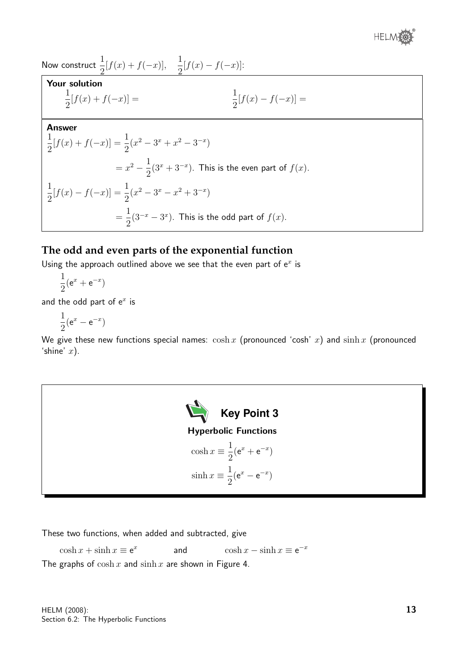

Now construct  $\frac{1}{2}$ 2  $[f(x) + f(-x)], \frac{1}{2}$ 2  $[f(x) - f(-x)]$ :

## Your solution

$$
\frac{1}{2}[f(x) + f(-x)] = \frac{1}{2}[f(x) - f(-x)] =
$$

#### Answer

$$
\frac{1}{2}[f(x) + f(-x)] = \frac{1}{2}(x^2 - 3^x + x^2 - 3^{-x})
$$
  
=  $x^2 - \frac{1}{2}(3^x + 3^{-x})$ . This is the even part of  $f(x)$ .  

$$
\frac{1}{2}[f(x) - f(-x)] = \frac{1}{2}(x^2 - 3^x - x^2 + 3^{-x})
$$
  
=  $\frac{1}{2}(3^{-x} - 3^{x})$ . This is the odd part of  $f(x)$ .

## **The odd and even parts of the exponential function**

Using the approach outlined above we see that the even part of  $e^x$  is

$$
\frac{1}{2}(\mathrm{e}^x + \mathrm{e}^{-x})
$$

and the odd part of  $e^x$  is

$$
\frac{1}{2}(\mathrm{e}^x - \mathrm{e}^{-x})
$$

We give these new functions special names:  $\cosh x$  (pronounced 'cosh' x) and  $\sinh x$  (pronounced 'shine'  $x$ ).



These two functions, when added and subtracted, give

 $\cosh x + \sinh x \equiv e^x$ and  $\cosh x - \sinh x \equiv e^{-x}$ 

The graphs of  $\cosh x$  and  $\sinh x$  are shown in Figure 4.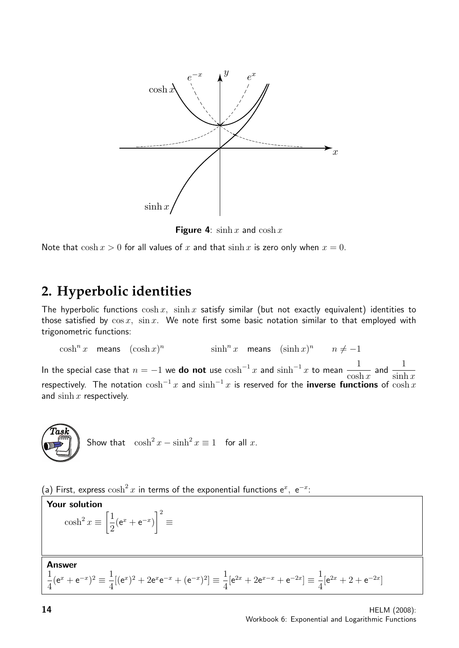

**Figure 4:**  $\sinh x$  and  $\cosh x$ 

Note that  $\cosh x > 0$  for all values of x and that  $\sinh x$  is zero only when  $x = 0$ .

# **2. Hyperbolic identities**

The hyperbolic functions  $\cosh x$ ,  $\sinh x$  satisfy similar (but not exactly equivalent) identities to those satisfied by  $\cos x$ ,  $\sin x$ . We note first some basic notation similar to that employed with trigonometric functions:

 $\cosh^n x$  means  $(\cosh x)^n$  $\sinh^n x$  means  $(\sinh x)^n$   $n \neq -1$ 

In the special case that  $n = -1$  we do not use  $\cosh^{-1} x$  and  $\sinh^{-1} x$  to mean 1  $\cosh x$ and  $\frac{1}{\cdots}$  $\sinh x$ respectively. The notation  $\cosh^{-1} x$  and  $\sinh^{-1} x$  is reserved for the **inverse functions** of  $\cosh x$ and  $\sinh x$  respectively.

$$
\begin{pmatrix} \text{Task} \\ \text{PQ} \end{pmatrix} \text{ Show that } \cosh^2 x - \sinh^2 x \equiv 1 \text{ for all } x.
$$

(a) First, express  $\cosh^2 x$  in terms of the exponential functions  $e^x$ ,  $e^{-x}$ :

**Your solution**  

$$
\cosh^2 x \equiv \left[\frac{1}{2}(e^x + e^{-x})\right]^2 \equiv
$$

**Answer** 

$$
\frac{1}{4}(e^x + e^{-x})^2 \equiv \frac{1}{4}[(e^x)^2 + 2e^x e^{-x} + (e^{-x})^2] \equiv \frac{1}{4}[e^{2x} + 2e^{x-x} + e^{-2x}] \equiv \frac{1}{4}[e^{2x} + 2 + e^{-2x}]
$$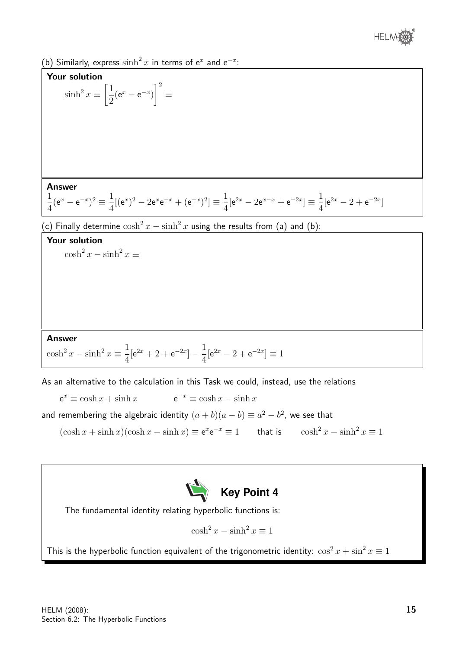

(b) Similarly, express  $\sinh^2 x$  in terms of e<sup>x</sup> and e<sup>-x</sup>:



As an alternative to the calculation in this Task we could, instead, use the relations

 $e^x \equiv \cosh x + \sinh x$  e  $e^{-x} \equiv \cosh x - \sinh x$ 

and remembering the algebraic identity  $(a + b)(a - b) \equiv a^2 - b^2$ , we see that

 $(\cosh x + \sinh x)(\cosh x - \sinh x) \equiv e^x e^{-x} \equiv 1$  that is  $\cosh^2 x - \sinh^2 x \equiv 1$ 



The fundamental identity relating hyperbolic functions is:

$$
\cosh^2 x - \sinh^2 x \equiv 1
$$

This is the hyperbolic function equivalent of the trigonometric identity:  $\cos^2 x + \sin^2 x \equiv 1$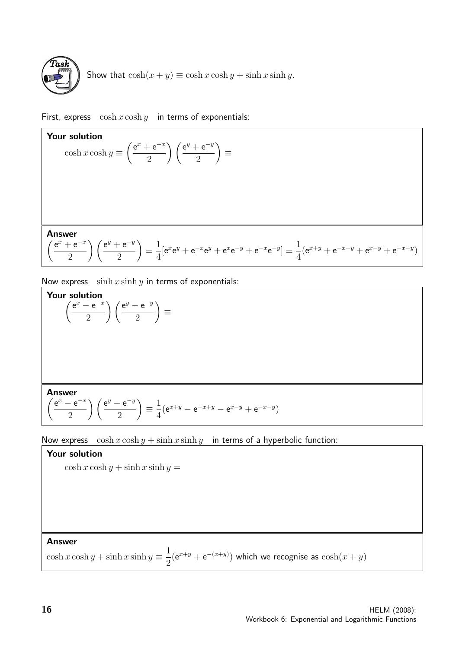

Show that  $\cosh(x + y) \equiv \cosh x \cosh y + \sinh x \sinh y$ .

First, express  $\cosh x \cosh y$  in terms of exponentials:

**Your solution**  
\n
$$
\cosh x \cosh y \equiv \left(\frac{e^x + e^{-x}}{2}\right) \left(\frac{e^y + e^{-y}}{2}\right) \equiv
$$
\n**Answer**  
\n
$$
\left(\frac{e^x + e^{-x}}{2}\right) \left(\frac{e^y + e^{-y}}{2}\right) \equiv \frac{1}{4} [e^x e^y + e^{-x} e^y + e^x e^{-y} + e^{-x} e^{-y}] \equiv \frac{1}{4} (e^{x+y} + e^{-x+y} + e^{x-y} + e^{-x-y})
$$

Now express  $\sinh x \sinh y$  in terms of exponentials:

Your solution

$$
\left(\frac{e^x - e^{-x}}{2}\right)\left(\frac{e^y - e^{-y}}{2}\right) \equiv
$$

Answer

$$
\left(\frac{e^x - e^{-x}}{2}\right)\left(\frac{e^y - e^{-y}}{2}\right) \equiv \frac{1}{4}(e^{x+y} - e^{-x+y} - e^{x-y} + e^{-x-y})
$$

Now express  $\cosh x \cosh y + \sinh x \sinh y$  in terms of a hyperbolic function:

# Your solution  $\cosh x \cosh y + \sinh x \sinh y =$ Answer

 $\cosh x \cosh y + \sinh x \sinh y \equiv \frac{1}{2}$ 2  $(e^{x+y} + e^{-(x+y)})$  which we recognise as  $cosh(x+y)$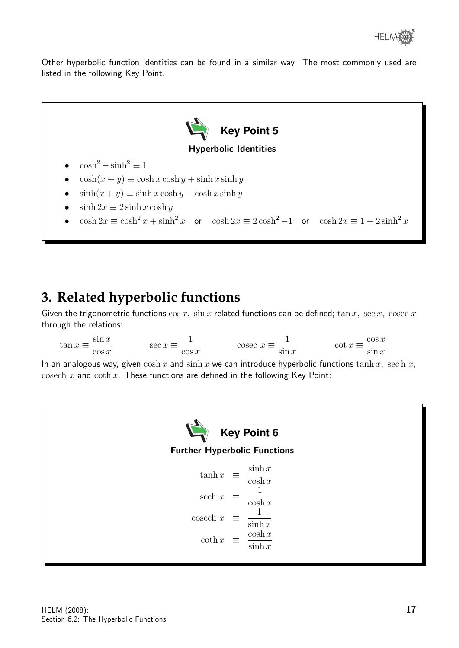Other hyperbolic function identities can be found in a similar way. The most commonly used are listed in the following Key Point.



# **3. Related hyperbolic functions**

Given the trigonometric functions  $\cos x$ ,  $\sin x$  related functions can be defined;  $\tan x$ ,  $\sec x$ ,  $\csc x$ through the relations:

 $\tan x \equiv \frac{\sin x}{x}$  $\cos x$  $\sec x \equiv \frac{1}{2}$  $\cos x$ cosec  $x \equiv \frac{1}{x}$  $\sin x$  $\cot x \equiv \frac{\cos x}{x}$  $\sin x$ 

In an analogous way, given  $\cosh x$  and  $\sinh x$  we can introduce hyperbolic functions  $\tanh x$ , sech x, cosech x and coth x. These functions are defined in the following Key Point: